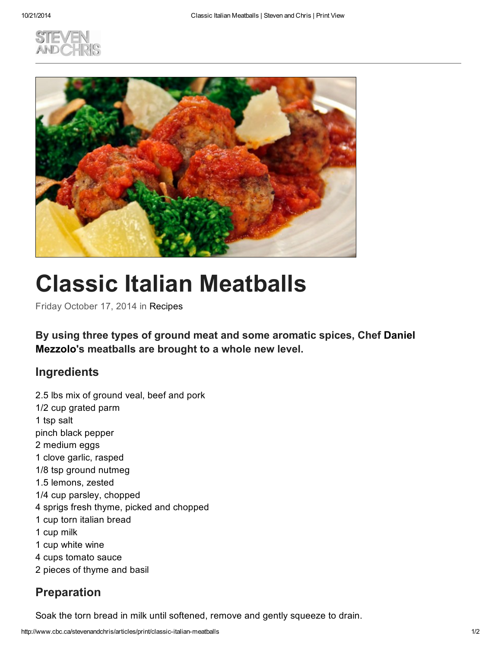



## Classic Italian Meatballs

Friday October 17, 2014 in Recipes

By using three types of ground meat and some aromatic spices, Chef Daniel Mezzolo's meatballs are brought to a whole new level.

## **Ingredients**

2.5 lbs mix of ground veal, beef and pork 1/2 cup grated parm 1 tsp salt pinch black pepper 2 medium eggs 1 clove garlic, rasped 1/8 tsp ground nutmeg 1.5 lemons, zested 1/4 cup parsley, chopped 4 sprigs fresh thyme, picked and chopped 1 cup torn italian bread 1 cup milk 1 cup white wine 4 cups tomato sauce 2 pieces of thyme and basil

## Preparation

Soak the torn bread in milk until softened, remove and gently squeeze to drain.